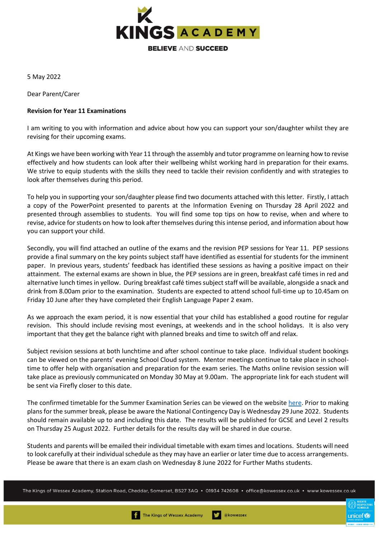

5 May 2022

Dear Parent/Carer

## **Revision for Year 11 Examinations**

I am writing to you with information and advice about how you can support your son/daughter whilst they are revising for their upcoming exams.

At Kings we have been working with Year 11 through the assembly and tutor programme on learning how to revise effectively and how students can look after their wellbeing whilst working hard in preparation for their exams. We strive to equip students with the skills they need to tackle their revision confidently and with strategies to look after themselves during this period.

To help you in supporting your son/daughter please find two documents attached with this letter. Firstly, I attach a copy of the PowerPoint presented to parents at the Information Evening on Thursday 28 April 2022 and presented through assemblies to students. You will find some top tips on how to revise, when and where to revise, advice for students on how to look after themselves during this intense period, and information about how you can support your child.

Secondly, you will find attached an outline of the exams and the revision PEP sessions for Year 11. PEP sessions provide a final summary on the key points subject staff have identified as essential for students for the imminent paper. In previous years, students' feedback has identified these sessions as having a positive impact on their attainment. The external exams are shown in blue, the PEP sessions are in green, breakfast café times in red and alternative lunch times in yellow. During breakfast café times subject staff will be available, alongside a snack and drink from 8.00am prior to the examination. Students are expected to attend school full-time up to 10.45am on Friday 10 June after they have completed their English Language Paper 2 exam.

As we approach the exam period, it is now essential that your child has established a good routine for regular revision. This should include revising most evenings, at weekends and in the school holidays. It is also very important that they get the balance right with planned breaks and time to switch off and relax.

Subject revision sessions at both lunchtime and after school continue to take place. Individual student bookings can be viewed on the parents' evening School Cloud system. Mentor meetings continue to take place in schooltime to offer help with organisation and preparation for the exam series. The Maths online revision session will take place as previously communicated on Monday 30 May at 9.00am. The appropriate link for each student will be sent via Firefly closer to this date.

The confirmed timetable for the Summer Examination Series can be viewed on the websit[e here.](https://www.kowessex.co.uk/downloads/exams/20220211Summer2022ExamTimetable.pdf) Prior to making plans for the summer break, please be aware the National Contingency Day is Wednesday 29 June 2022. Students should remain available up to and including this date. The results will be published for GCSE and Level 2 results on Thursday 25 August 2022. Further details for the results day will be shared in due course.

Students and parents will be emailed their individual timetable with exam times and locations. Students will need to look carefully at their individual schedule as they may have an earlier or later time due to access arrangements. Please be aware that there is an exam clash on Wednesday 8 June 2022 for Further Maths students.

The Kings of Wessex Academy, Station Road, Cheddar, Somerset, BS27 3AQ • 01934 742608 • office@kowessex.co.uk • www.kowessex.co.uk

unicef **C**